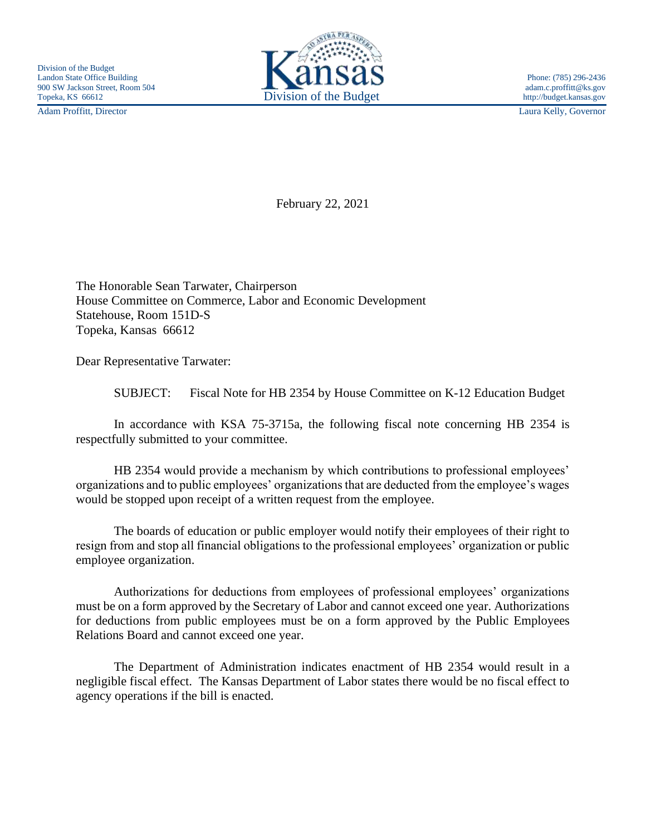Adam Proffitt, Director Laura Kelly, Governor



February 22, 2021

The Honorable Sean Tarwater, Chairperson House Committee on Commerce, Labor and Economic Development Statehouse, Room 151D-S Topeka, Kansas 66612

Dear Representative Tarwater:

SUBJECT: Fiscal Note for HB 2354 by House Committee on K-12 Education Budget

In accordance with KSA 75-3715a, the following fiscal note concerning HB 2354 is respectfully submitted to your committee.

HB 2354 would provide a mechanism by which contributions to professional employees' organizations and to public employees' organizations that are deducted from the employee's wages would be stopped upon receipt of a written request from the employee.

The boards of education or public employer would notify their employees of their right to resign from and stop all financial obligations to the professional employees' organization or public employee organization.

Authorizations for deductions from employees of professional employees' organizations must be on a form approved by the Secretary of Labor and cannot exceed one year. Authorizations for deductions from public employees must be on a form approved by the Public Employees Relations Board and cannot exceed one year.

The Department of Administration indicates enactment of HB 2354 would result in a negligible fiscal effect. The Kansas Department of Labor states there would be no fiscal effect to agency operations if the bill is enacted.